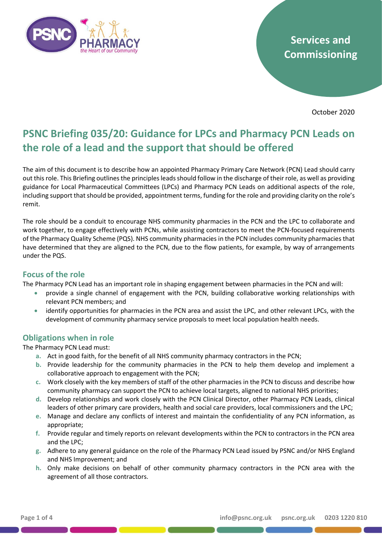

# **Services and Commissioning**

October 2020

# **PSNC Briefing 035/20: Guidance for LPCs and Pharmacy PCN Leads on the role of a lead and the support that should be offered**

The aim of this document is to describe how an appointed Pharmacy Primary Care Network (PCN) Lead should carry out this role. This Briefing outlines the principles leads should follow in the discharge of their role, as well as providing guidance for Local Pharmaceutical Committees (LPCs) and Pharmacy PCN Leads on additional aspects of the role, including support that should be provided, appointment terms, funding for the role and providing clarity on the role's remit.

The role should be a conduit to encourage NHS community pharmacies in the PCN and the LPC to collaborate and work together, to engage effectively with PCNs, while assisting contractors to meet the PCN-focused requirements of the Pharmacy Quality Scheme (PQS). NHS community pharmacies in the PCN includes community pharmacies that have determined that they are aligned to the PCN, due to the flow patients, for example, by way of arrangements under the PQS.

## **Focus of the role**

The Pharmacy PCN Lead has an important role in shaping engagement between pharmacies in the PCN and will:

- provide a single channel of engagement with the PCN, building collaborative working relationships with relevant PCN members; and
- identify opportunities for pharmacies in the PCN area and assist the LPC, and other relevant LPCs, with the development of community pharmacy service proposals to meet local population health needs.

## **Obligations when in role**

The Pharmacy PCN Lead must:

- **a.** Act in good faith, for the benefit of all NHS community pharmacy contractors in the PCN;
- **b.** Provide leadership for the community pharmacies in the PCN to help them develop and implement a collaborative approach to engagement with the PCN;
- **c.** Work closely with the key members of staff of the other pharmacies in the PCN to discuss and describe how community pharmacy can support the PCN to achieve local targets, aligned to national NHS priorities;
- **d.** Develop relationships and work closely with the PCN Clinical Director, other Pharmacy PCN Leads, clinical leaders of other primary care providers, health and social care providers, local commissioners and the LPC;
- **e.** Manage and declare any conflicts of interest and maintain the confidentiality of any PCN information, as appropriate;
- **f.** Provide regular and timely reports on relevant developments within the PCN to contractors in the PCN area and the LPC;
- **g.** Adhere to any general guidance on the role of the Pharmacy PCN Lead issued by PSNC and/or NHS England and NHS Improvement; and
- **h.** Only make decisions on behalf of other community pharmacy contractors in the PCN area with the agreement of all those contractors.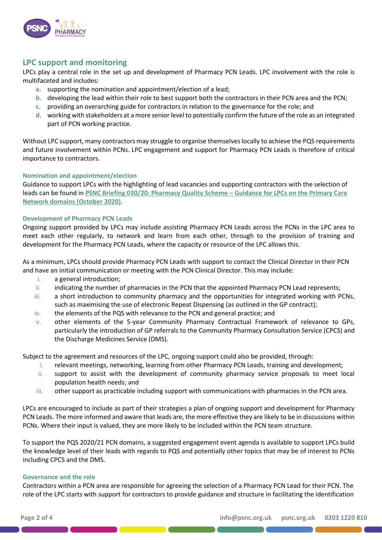

## **LPC support and monitoring**

LPCs play a central role in the set up and development of Pharmacy PCN Leads. LPC involvement with the role is multifaceted and includes:

- **a.** supporting the nomination and appointment/election of a lead;
- **b.** developing the lead within their role to best support both the contractors in their PCN area and the PCN;
- **c.** providing an overarching guide for contractors in relation to the governance for the role; and
- **d.** working with stakeholders at a more senior level to potentially confirm the future of the role as an integrated part of PCN working practice.

Without LPC support, many contractors may struggle to organise themselves locally to achieve the PQS requirements and future involvement within PCNs. LPC engagement and support for Pharmacy PCN Leads is therefore of critical importance to contractors.

#### **Nomination and appointment/election**

Guidance to support LPCs with the highlighting of lead vacancies and supporting contractors with the selection of leads can be found in **[PSNC Briefing 030/20: Pharmacy Quality Scheme](https://psnc.org.uk/services-commissioning/psnc-briefings-services-and-commissioning/psnc-briefing-030-20-pharmacy-quality-scheme-guidance-for-lpcs-on-the-primary-care-network-domains/) – Guidance for LPCs on the Primary Care [Network domains \(October 2020\)](https://psnc.org.uk/services-commissioning/psnc-briefings-services-and-commissioning/psnc-briefing-030-20-pharmacy-quality-scheme-guidance-for-lpcs-on-the-primary-care-network-domains/)**.

#### **Development of Pharmacy PCN Leads**

Ongoing support provided by LPCs may include assisting Pharmacy PCN Leads across the PCNs in the LPC area to meet each other regularly, to network and learn from each other, through to the provision of training and development for the Pharmacy PCN Leads, where the capacity or resource of the LPC allows this.

As a minimum, LPCs should provide Pharmacy PCN Leads with support to contact the Clinical Director in their PCN and have an initial communication or meeting with the PCN Clinical Director. This may include:

- i. a general introduction;
- ii. indicating the number of pharmacies in the PCN that the appointed Pharmacy PCN Lead represents;
- iii. a short introduction to community pharmacy and the opportunities for integrated working with PCNs, such as maximising the use of electronic Repeat Dispensing (as outlined in the GP contract);
- iv. the elements of the PQS with relevance to the PCN and general practice; and
- v. other elements of the 5-year Community Pharmacy Contractual Framework of relevance to GPs, particularly the introduction of GP referrals to the Community Pharmacy Consultation Service (CPCS) and the Discharge Medicines Service (DMS).

Subject to the agreement and resources of the LPC, ongoing support could also be provided, through:

- i. relevant meetings, networking, learning from other Pharmacy PCN Leads, training and development;
- ii. support to assist with the development of community pharmacy service proposals to meet local population health needs; and
- iii. other support as practicable including support with communications with pharmacies in the PCN area.

LPCs are encouraged to include as part of their strategies a plan of ongoing support and development for Pharmacy PCN Leads. The more informed and aware that leads are, the more effective they are likely to be in discussions within PCNs. Where their input is valued, they are more likely to be included within the PCN team structure.

To support the PQS 2020/21 PCN domains, a suggested engagement event agenda is available to support LPCs build the knowledge level of their leads with regards to PQS and potentially other topics that may be of interest to PCNs including CPCS and the DMS.

#### **Governance and the role**

Contractors within a PCN area are responsible for agreeing the selection of a Pharmacy PCN Lead for their PCN. The role of the LPC starts with support for contractors to provide guidance and structure in facilitating the identification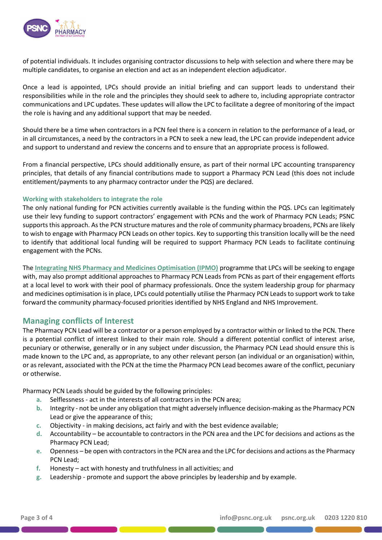

of potential individuals. It includes organising contractor discussions to help with selection and where there may be multiple candidates, to organise an election and act as an independent election adjudicator.

Once a lead is appointed, LPCs should provide an initial briefing and can support leads to understand their responsibilities while in the role and the principles they should seek to adhere to, including appropriate contractor communications and LPC updates. These updates will allow the LPC to facilitate a degree of monitoring of the impact the role is having and any additional support that may be needed.

Should there be a time when contractors in a PCN feel there is a concern in relation to the performance of a lead, or in all circumstances, a need by the contractors in a PCN to seek a new lead, the LPC can provide independent advice and support to understand and review the concerns and to ensure that an appropriate process is followed.

From a financial perspective, LPCs should additionally ensure, as part of their normal LPC accounting transparency principles, that details of any financial contributions made to support a Pharmacy PCN Lead (this does not include entitlement/payments to any pharmacy contractor under the PQS) are declared.

#### **Working with stakeholders to integrate the role**

The only national funding for PCN activities currently available is the funding within the PQS. LPCs can legitimately use their levy funding to support contractors' engagement with PCNs and the work of Pharmacy PCN Leads; PSNC supports this approach. As the PCN structure matures and the role of community pharmacy broadens, PCNs are likely to wish to engage with Pharmacy PCN Leads on other topics. Key to supporting this transition locally will be the need to identify that additional local funding will be required to support Pharmacy PCN Leads to facilitate continuing engagement with the PCNs.

The **[Integrating NHS Pharmacy and Medicines Optimisation \(IPMO\)](https://psnc.org.uk/the-healthcare-landscape/the-pharmacy-integration-fund-phif/integrating-nhs-pharmacy-and-medicines-optimisation-into-stps-and-icss/)** programme that LPCs will be seeking to engage with, may also prompt additional approaches to Pharmacy PCN Leads from PCNs as part of their engagement efforts at a local level to work with their pool of pharmacy professionals. Once the system leadership group for pharmacy and medicines optimisation is in place, LPCs could potentially utilise the Pharmacy PCN Leads to support work to take forward the community pharmacy-focused priorities identified by NHS England and NHS Improvement.

## **Managing conflicts of Interest**

The Pharmacy PCN Lead will be a contractor or a person employed by a contractor within or linked to the PCN. There is a potential conflict of interest linked to their main role. Should a different potential conflict of interest arise, pecuniary or otherwise, generally or in any subject under discussion, the Pharmacy PCN Lead should ensure this is made known to the LPC and, as appropriate, to any other relevant person (an individual or an organisation) within, or as relevant, associated with the PCN at the time the Pharmacy PCN Lead becomes aware of the conflict, pecuniary or otherwise.

Pharmacy PCN Leads should be guided by the following principles:

- **a.** Selflessness act in the interests of all contractors in the PCN area;
- **b.** Integrity not be under any obligation that might adversely influence decision-making as the Pharmacy PCN Lead or give the appearance of this;
- **c.** Objectivity in making decisions, act fairly and with the best evidence available;
- **d.** Accountability be accountable to contractors in the PCN area and the LPC for decisions and actions as the Pharmacy PCN Lead;
- **e.** Openness be open with contractors in the PCN area and the LPC for decisions and actions as the Pharmacy PCN Lead;
- **f.** Honesty act with honesty and truthfulness in all activities; and
- **g.** Leadership promote and support the above principles by leadership and by example.